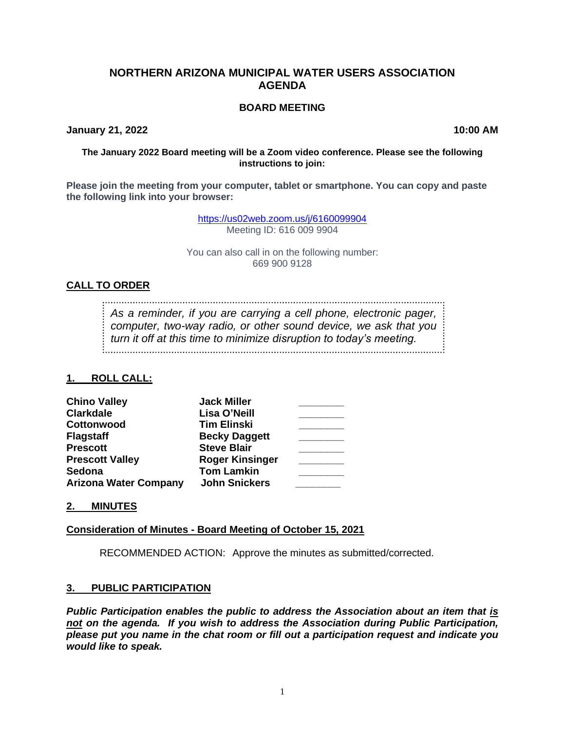# **NORTHERN ARIZONA MUNICIPAL WATER USERS ASSOCIATION AGENDA**

### **BOARD MEETING**

**January 21, 2022 10:00 AM**

#### **The January 2022 Board meeting will be a Zoom video conference. Please see the following instructions to join:**

**Please join the meeting from your computer, tablet or smartphone. You can copy and paste the following link into your browser:**

> <https://us02web.zoom.us/j/6160099904> Meeting ID: 616 009 9904

You can also call in on the following number: 669 900 9128

### **CALL TO ORDER**

*As a reminder, if you are carrying a cell phone, electronic pager, computer, two-way radio, or other sound device, we ask that you turn it off at this time to minimize disruption to today's meeting.*

### **1. ROLL CALL:**

| <b>Chino Valley</b>          | <b>Jack Miller</b>     |  |
|------------------------------|------------------------|--|
| <b>Clarkdale</b>             | Lisa O'Neill           |  |
| Cottonwood                   | <b>Tim Elinski</b>     |  |
| <b>Flagstaff</b>             | <b>Becky Daggett</b>   |  |
| <b>Prescott</b>              | <b>Steve Blair</b>     |  |
| <b>Prescott Valley</b>       | <b>Roger Kinsinger</b> |  |
| Sedona                       | <b>Tom Lamkin</b>      |  |
| <b>Arizona Water Company</b> | <b>John Snickers</b>   |  |

### **2. MINUTES**

### **Consideration of Minutes - Board Meeting of October 15, 2021**

RECOMMENDED ACTION: Approve the minutes as submitted/corrected.

### **3. PUBLIC PARTICIPATION**

*Public Participation enables the public to address the Association about an item that is not on the agenda. If you wish to address the Association during Public Participation, please put you name in the chat room or fill out a participation request and indicate you would like to speak.*